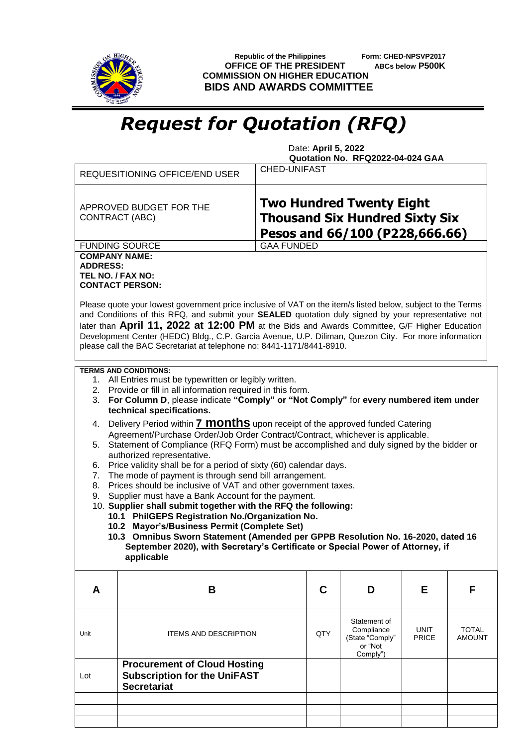

 **Republic of the Philippines Form: CHED-NPSVP2017 OFFICE OF THE PRESIDENT ABCs below P500K COMMISSION ON HIGHER EDUCATION BIDS AND AWARDS COMMITTEE**

## *Request for Quotation (RFQ)*

 Date: **April 5, 2022 Quotation No. RFQ2022-04-024 GAA**

|                                                              | REQUESITIONING OFFICE/END USER                                                                                                                                                                                                                                                                                                                                                                                                                                                                                                                                                                                                                                                                                                                                                                                                                                                                                                                                                                                                                                                                                                                                                             | <b>CHED-UNIFAST</b>                                                                                        |                                                                      |                      |                        |
|--------------------------------------------------------------|--------------------------------------------------------------------------------------------------------------------------------------------------------------------------------------------------------------------------------------------------------------------------------------------------------------------------------------------------------------------------------------------------------------------------------------------------------------------------------------------------------------------------------------------------------------------------------------------------------------------------------------------------------------------------------------------------------------------------------------------------------------------------------------------------------------------------------------------------------------------------------------------------------------------------------------------------------------------------------------------------------------------------------------------------------------------------------------------------------------------------------------------------------------------------------------------|------------------------------------------------------------------------------------------------------------|----------------------------------------------------------------------|----------------------|------------------------|
|                                                              | APPROVED BUDGET FOR THE<br><b>CONTRACT (ABC)</b>                                                                                                                                                                                                                                                                                                                                                                                                                                                                                                                                                                                                                                                                                                                                                                                                                                                                                                                                                                                                                                                                                                                                           | <b>Two Hundred Twenty Eight</b><br><b>Thousand Six Hundred Sixty Six</b><br>Pesos and 66/100 (P228,666.66) |                                                                      |                      |                        |
|                                                              | <b>FUNDING SOURCE</b>                                                                                                                                                                                                                                                                                                                                                                                                                                                                                                                                                                                                                                                                                                                                                                                                                                                                                                                                                                                                                                                                                                                                                                      | <b>GAA FUNDED</b>                                                                                          |                                                                      |                      |                        |
| <b>COMPANY NAME:</b><br><b>ADDRESS:</b><br>TEL NO. / FAX NO: | <b>CONTACT PERSON:</b><br>Please quote your lowest government price inclusive of VAT on the item/s listed below, subject to the Terms<br>and Conditions of this RFQ, and submit your SEALED quotation duly signed by your representative not<br>later than April 11, 2022 at 12:00 PM at the Bids and Awards Committee, G/F Higher Education<br>Development Center (HEDC) Bldg., C.P. Garcia Avenue, U.P. Diliman, Quezon City. For more information<br>please call the BAC Secretariat at telephone no: 8441-1171/8441-8910.                                                                                                                                                                                                                                                                                                                                                                                                                                                                                                                                                                                                                                                              |                                                                                                            |                                                                      |                      |                        |
| 3.<br>4.<br>5.<br>6.<br>7.<br>8.<br>9.                       | <b>TERMS AND CONDITIONS:</b><br>1. All Entries must be typewritten or legibly written.<br>2. Provide or fill in all information required in this form.<br>For Column D, please indicate "Comply" or "Not Comply" for every numbered item under<br>technical specifications.<br>Delivery Period within <b>7 MONthS</b> upon receipt of the approved funded Catering<br>Agreement/Purchase Order/Job Order Contract/Contract, whichever is applicable.<br>Statement of Compliance (RFQ Form) must be accomplished and duly signed by the bidder or<br>authorized representative.<br>Price validity shall be for a period of sixty (60) calendar days.<br>The mode of payment is through send bill arrangement.<br>Prices should be inclusive of VAT and other government taxes.<br>Supplier must have a Bank Account for the payment.<br>10. Supplier shall submit together with the RFQ the following:<br>10.1 PhilGEPS Registration No./Organization No.<br>10.2 Mayor's/Business Permit (Complete Set)<br>10.3 Omnibus Sworn Statement (Amended per GPPB Resolution No. 16-2020, dated 16<br>September 2020), with Secretary's Certificate or Special Power of Attorney, if<br>applicable |                                                                                                            |                                                                      |                      |                        |
| A                                                            | В                                                                                                                                                                                                                                                                                                                                                                                                                                                                                                                                                                                                                                                                                                                                                                                                                                                                                                                                                                                                                                                                                                                                                                                          | C                                                                                                          | D                                                                    | E.                   | F                      |
| Unit                                                         | <b>ITEMS AND DESCRIPTION</b>                                                                                                                                                                                                                                                                                                                                                                                                                                                                                                                                                                                                                                                                                                                                                                                                                                                                                                                                                                                                                                                                                                                                                               | QTY                                                                                                        | Statement of<br>Compliance<br>(State "Comply"<br>or "Not<br>Comply") | UNIT<br><b>PRICE</b> | <b>TOTAL</b><br>AMOUNT |
| Lot                                                          | <b>Procurement of Cloud Hosting</b><br><b>Subscription for the UniFAST</b><br><b>Secretariat</b>                                                                                                                                                                                                                                                                                                                                                                                                                                                                                                                                                                                                                                                                                                                                                                                                                                                                                                                                                                                                                                                                                           |                                                                                                            |                                                                      |                      |                        |
|                                                              |                                                                                                                                                                                                                                                                                                                                                                                                                                                                                                                                                                                                                                                                                                                                                                                                                                                                                                                                                                                                                                                                                                                                                                                            |                                                                                                            |                                                                      |                      |                        |